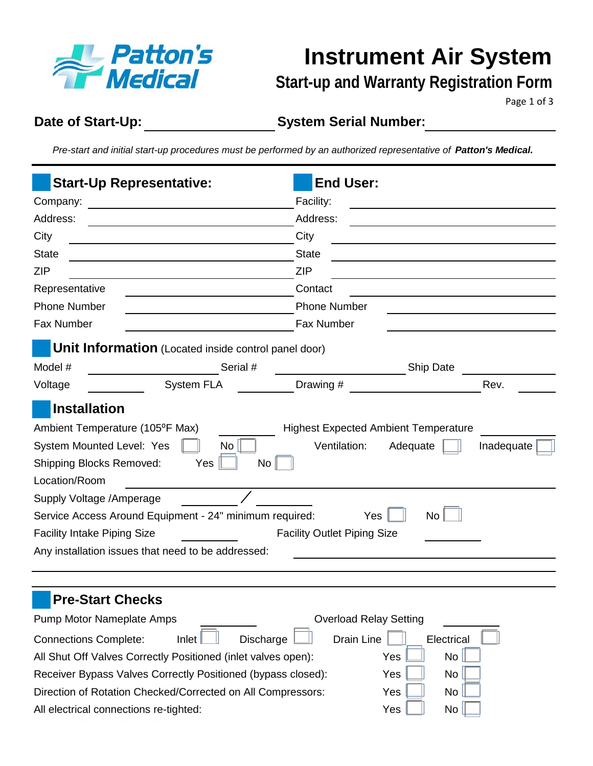

**Instrument Air System** 

**Start-up and Warranty Registration Form**

Page 1 of 3

**Date of Start-Up:**

**System Serial Number:**

*Pre-start and initial start-up procedures must be performed by an authorized representative of Patton's Medical.* 

| <b>Start-Up Representative:</b>                                                                                                                                                                                                                                                                                                          | <b>End User:</b>                                                                                                            |                                     |  |  |  |  |
|------------------------------------------------------------------------------------------------------------------------------------------------------------------------------------------------------------------------------------------------------------------------------------------------------------------------------------------|-----------------------------------------------------------------------------------------------------------------------------|-------------------------------------|--|--|--|--|
| Company:<br><u> 1980 - Jan Stein Stein Stein Stein Stein Stein Stein Stein Stein Stein Stein Stein Stein Stein Stein Stein S</u>                                                                                                                                                                                                         | Facility:                                                                                                                   |                                     |  |  |  |  |
| Address:                                                                                                                                                                                                                                                                                                                                 | Address:<br>City                                                                                                            |                                     |  |  |  |  |
| City                                                                                                                                                                                                                                                                                                                                     |                                                                                                                             |                                     |  |  |  |  |
| <b>State</b>                                                                                                                                                                                                                                                                                                                             | <b>State</b>                                                                                                                |                                     |  |  |  |  |
| <b>ZIP</b>                                                                                                                                                                                                                                                                                                                               | <b>ZIP</b><br>Contact                                                                                                       |                                     |  |  |  |  |
| Representative                                                                                                                                                                                                                                                                                                                           |                                                                                                                             |                                     |  |  |  |  |
| <b>Phone Number</b>                                                                                                                                                                                                                                                                                                                      | <b>Phone Number</b>                                                                                                         |                                     |  |  |  |  |
| Fax Number                                                                                                                                                                                                                                                                                                                               | Fax Number                                                                                                                  |                                     |  |  |  |  |
| Unit Information (Located inside control panel door)                                                                                                                                                                                                                                                                                     |                                                                                                                             |                                     |  |  |  |  |
| Serial #<br>Model #                                                                                                                                                                                                                                                                                                                      |                                                                                                                             | <b>Ship Date</b>                    |  |  |  |  |
| <b>System FLA</b><br>Voltage                                                                                                                                                                                                                                                                                                             | Drawing #                                                                                                                   | Rev.                                |  |  |  |  |
| <b>Installation</b><br>Ambient Temperature (105°F Max)<br>System Mounted Level: Yes<br>No<br><b>Shipping Blocks Removed:</b><br>Yes<br>Location/Room<br>Supply Voltage / Amperage<br>Service Access Around Equipment - 24" minimum required:<br><b>Facility Intake Piping Size</b><br>Any installation issues that need to be addressed: | <b>Highest Expected Ambient Temperature</b><br>Ventilation:<br>No <sub>1</sub><br>Yes<br><b>Facility Outlet Piping Size</b> | Adequate<br>Inadequate<br><b>No</b> |  |  |  |  |
| <b>Pre-Start Checks</b><br>Pump Motor Nameplate Amps<br>lnlet<br><b>Connections Complete:</b><br>All Shut Off Valves Correctly Positioned (inlet valves open):<br>Receiver Bypass Valves Correctly Positioned (bypass closed):<br>Direction of Rotation Checked/Corrected on All Compressors:                                            | <b>Overload Relay Setting</b><br>Discharge<br>Drain Line<br>Yes<br>Yes<br>Yes                                               | Electrical<br>No<br>No<br>No        |  |  |  |  |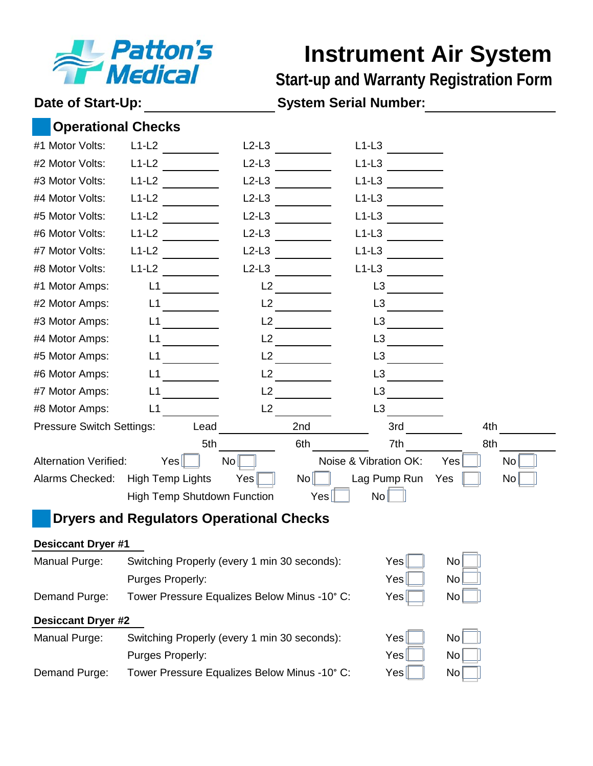

## **Instrument Air System**

**Start-up and Warranty Registration Form**

### **Date of Start-Up: System Serial Number:**

| <b>Operational Checks</b>        |                                                           |         |                       |              |                  |  |
|----------------------------------|-----------------------------------------------------------|---------|-----------------------|--------------|------------------|--|
| #1 Motor Volts:                  | $L1-L2$                                                   | $L2-L3$ | $L1-L3$               |              |                  |  |
| #2 Motor Volts:                  | $L1-L2$                                                   | $L2-L3$ | $L1-L3$               |              |                  |  |
| #3 Motor Volts:                  | $L1-L2$                                                   | $L2-L3$ | $L1-L3$               |              |                  |  |
| #4 Motor Volts:                  | $L1-L2$                                                   | $L2-L3$ | $L1-L3$               |              |                  |  |
| #5 Motor Volts:                  | $L1-L2$                                                   | $L2-L3$ | $L1-L3$               |              |                  |  |
| #6 Motor Volts:                  | $L1-L2$                                                   | $L2-L3$ | $L1-L3$               |              |                  |  |
| #7 Motor Volts:                  | $L1-L2$                                                   | $L2-L3$ | $L1-L3$               |              |                  |  |
| #8 Motor Volts:                  | $L1-L2$                                                   | $L2-L3$ | $L1-L3$               |              |                  |  |
| #1 Motor Amps:                   | L1                                                        | L2      | L <sub>3</sub>        |              |                  |  |
| #2 Motor Amps:                   | L1                                                        | L2      | L3                    |              |                  |  |
| #3 Motor Amps:                   | L1                                                        | L2      | L <sub>3</sub>        |              |                  |  |
| #4 Motor Amps:                   | L1                                                        | L2      | L <sub>3</sub>        |              |                  |  |
| #5 Motor Amps:                   | L1                                                        | L2      | L <sub>3</sub>        |              |                  |  |
| #6 Motor Amps:                   | L1                                                        | L2      | L <sub>3</sub>        |              |                  |  |
| #7 Motor Amps:                   | L1                                                        | L2      | L <sub>3</sub>        |              |                  |  |
| #8 Motor Amps:                   | L1                                                        | L2      | L <sub>3</sub>        |              |                  |  |
| <b>Pressure Switch Settings:</b> | Lead                                                      |         | 2nd                   | 3rd          | 4th              |  |
|                                  | 5th                                                       |         | 6th                   | 7th          | 8th              |  |
| <b>Alternation Verified:</b>     | Yes <sub>l</sub>                                          | No      | Noise & Vibration OK: |              | Yes<br><b>No</b> |  |
| Alarms Checked:                  | <b>High Temp Lights</b>                                   | Yes     | No <sub>1</sub>       | Lag Pump Run | No<br>Yes        |  |
|                                  | High Temp Shutdown Function                               |         | No<br>Yes             |              |                  |  |
|                                  | <b>Dryers and Regulators Operational Checks</b>           |         |                       |              |                  |  |
| <b>Desiccant Dryer #1</b>        |                                                           |         |                       |              |                  |  |
| Manual Purge:                    | Switching Properly (every 1 min 30 seconds):              |         |                       | Yes          | No               |  |
|                                  | Purges Properly:                                          |         |                       | Yes          | No               |  |
| Demand Purge:                    | No<br>Tower Pressure Equalizes Below Minus -10° C:<br>Yes |         |                       |              |                  |  |
| <b>Desiccant Dryer #2</b>        |                                                           |         |                       |              |                  |  |
| Manual Purge:                    | Switching Properly (every 1 min 30 seconds):              |         |                       | Yes          | No               |  |
|                                  | Purges Properly:                                          |         |                       | Yes          | No               |  |
| Demand Purge:                    | Tower Pressure Equalizes Below Minus -10° C:              |         |                       | Yes          | No               |  |